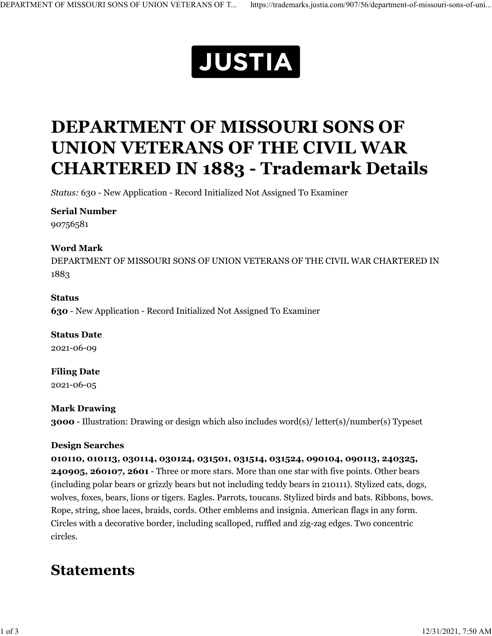

# **DEPARTMENT OF MISSOURI SONS OF UNION VETERANS OF THE CIVIL WAR CHARTERED IN 1883 - Trademark Details**

*Status:* 630 - New Application - Record Initialized Not Assigned To Examiner

#### **Serial Number**

90756581

#### **Word Mark**

DEPARTMENT OF MISSOURI SONS OF UNION VETERANS OF THE CIVIL WAR CHARTERED IN 1883

#### **Status**

**630** - New Application - Record Initialized Not Assigned To Examiner

**Status Date** 2021-06-09

**Filing Date** 2021-06-05

#### **Mark Drawing**

**3000** - Illustration: Drawing or design which also includes word(s)/ letter(s)/number(s) Typeset

#### **Design Searches**

**010110, 010113, 030114, 030124, 031501, 031514, 031524, 090104, 090113, 240325, 240905, 260107, 2601** - Three or more stars. More than one star with five points. Other bears (including polar bears or grizzly bears but not including teddy bears in 210111). Stylized cats, dogs, wolves, foxes, bears, lions or tigers. Eagles. Parrots, toucans. Stylized birds and bats. Ribbons, bows. Rope, string, shoe laces, braids, cords. Other emblems and insignia. American flags in any form. Circles with a decorative border, including scalloped, ruffled and zig-zag edges. Two concentric circles.

### **Statements**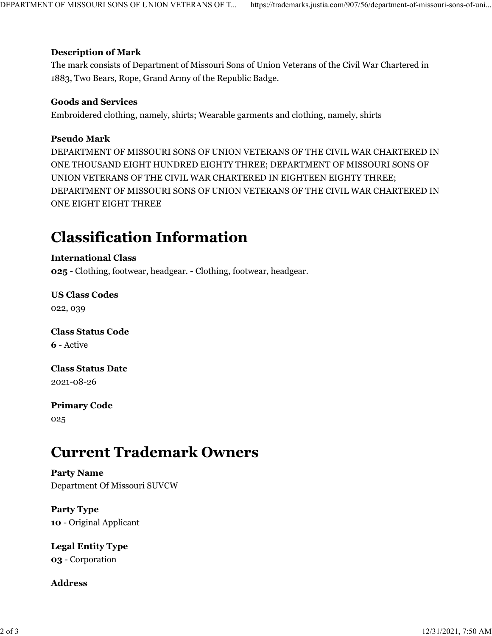#### **Description of Mark**

The mark consists of Department of Missouri Sons of Union Veterans of the Civil War Chartered in 1883, Two Bears, Rope, Grand Army of the Republic Badge.

#### **Goods and Services**

Embroidered clothing, namely, shirts; Wearable garments and clothing, namely, shirts

#### **Pseudo Mark**

DEPARTMENT OF MISSOURI SONS OF UNION VETERANS OF THE CIVIL WAR CHARTERED IN ONE THOUSAND EIGHT HUNDRED EIGHTY THREE; DEPARTMENT OF MISSOURI SONS OF UNION VETERANS OF THE CIVIL WAR CHARTERED IN EIGHTEEN EIGHTY THREE; DEPARTMENT OF MISSOURI SONS OF UNION VETERANS OF THE CIVIL WAR CHARTERED IN ONE EIGHT EIGHT THREE

### **Classification Information**

#### **International Class**

**025** - Clothing, footwear, headgear. - Clothing, footwear, headgear.

**US Class Codes** 022, 039

**Class Status Code 6** - Active

**Class Status Date** 2021-08-26

**Primary Code** 025

# **Current Trademark Owners**

**Party Name** Department Of Missouri SUVCW

**Party Type 10** - Original Applicant

**Legal Entity Type 03** - Corporation

**Address**